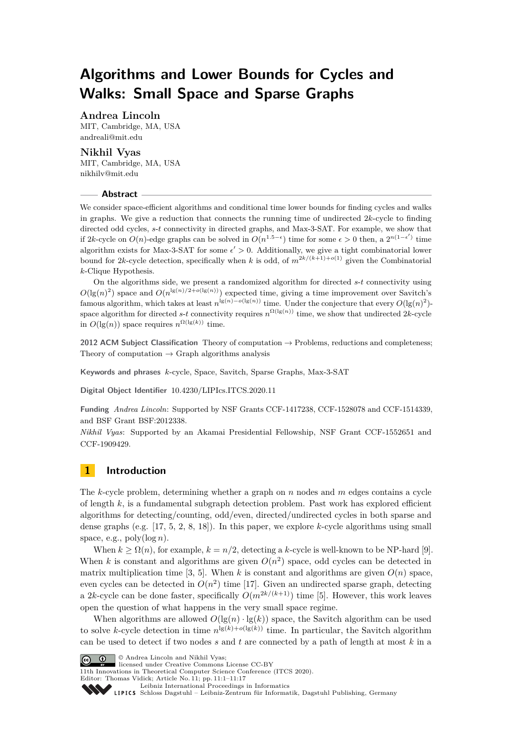# **Algorithms and Lower Bounds for Cycles and Walks: Small Space and Sparse Graphs**

## **Andrea Lincoln**

MIT, Cambridge, MA, USA [andreali@mit.edu](mailto:andreali@mit.edu)

## **Nikhil Vyas**

MIT, Cambridge, MA, USA [nikhilv@mit.edu](mailto:nikhilv@mit.edu)

#### **Abstract**

We consider space-efficient algorithms and conditional time lower bounds for finding cycles and walks in graphs. We give a reduction that connects the running time of undirected 2*k*-cycle to finding directed odd cycles, *s*-*t* connectivity in directed graphs, and Max-3-SAT. For example, we show that if 2*k*-cycle on *O*(*n*)-edge graphs can be solved in  $O(n^{1.5-\epsilon})$  time for some  $\epsilon > 0$  then, a  $2^{n(1-\epsilon')}$  time algorithm exists for Max-3-SAT for some  $\epsilon' > 0$ . Additionally, we give a tight combinatorial lower bound for 2*k*-cycle detection, specifically when *k* is odd, of  $m^{2k/(k+1)+o(1)}$  given the Combinatorial *k*-Clique Hypothesis.

On the algorithms side, we present a randomized algorithm for directed *s*-*t* connectivity using  $O(\lg(n)^2)$  space and  $O(n^{\lg(n)/2+o(\lg(n))})$  expected time, giving a time improvement over Savitch's famous algorithm, which takes at least  $n^{\lg(n)-o(\lg(n))}$  time. Under the conjecture that every  $O(\lg(n)^2)$ space algorithm for directed *s*-*t* connectivity requires  $n^{\Omega(\lg(n))}$  time, we show that undirected 2*k*-cycle in  $O(\lg(n))$  space requires  $n^{\Omega(\lg(k))}$  time.

**2012 ACM Subject Classification** Theory of computation → Problems, reductions and completeness; Theory of computation  $\rightarrow$  Graph algorithms analysis

**Keywords and phrases** *k*-cycle, Space, Savitch, Sparse Graphs, Max-3-SAT

**Digital Object Identifier** [10.4230/LIPIcs.ITCS.2020.11](https://doi.org/10.4230/LIPIcs.ITCS.2020.11)

**Funding** *Andrea Lincoln*: Supported by NSF Grants CCF-1417238, CCF-1528078 and CCF-1514339, and BSF Grant BSF:2012338.

*Nikhil Vyas*: Supported by an Akamai Presidential Fellowship, NSF Grant CCF-1552651 and CCF-1909429.

# **1 Introduction**

The *k*-cycle problem, determining whether a graph on *n* nodes and *m* edges contains a cycle of length *k*, is a fundamental subgraph detection problem. Past work has explored efficient algorithms for detecting/counting, odd/even, directed/undirected cycles in both sparse and dense graphs (e.g. [\[17,](#page-15-0) [5,](#page-15-1) [2,](#page-14-0) [8,](#page-15-2) [18\]](#page-15-3)). In this paper, we explore *k*-cycle algorithms using small space, e.g.,  $poly(log n)$ .

When  $k > \Omega(n)$ , for example,  $k = n/2$ , detecting a *k*-cycle is well-known to be NP-hard [\[9\]](#page-15-4). When *k* is constant and algorithms are given  $O(n^2)$  space, odd cycles can be detected in matrix multiplication time [\[3,](#page-14-1) [5\]](#page-15-1). When  $k$  is constant and algorithms are given  $O(n)$  space, even cycles can be detected in  $O(n^2)$  time [\[17\]](#page-15-0). Given an undirected sparse graph, detecting a 2*k*-cycle can be done faster, specifically  $O(m^{2k/(k+1)})$  time [\[5\]](#page-15-1). However, this work leaves open the question of what happens in the very small space regime.

When algorithms are allowed  $O(\lg(n) \cdot \lg(k))$  space, the Savitch algorithm can be used to solve *k*-cycle detection in time  $n^{\lg(k)+o(\lg(k))}$  time. In particular, the Savitch algorithm can be used to detect if two nodes *s* and *t* are connected by a path of length at most *k* in a



licensed under Creative Commons License CC-BY

11th Innovations in Theoretical Computer Science Conference (ITCS 2020).

Editor: Thomas Vidick; Article No. 11; pp. 11:1–11[:17](#page-16-0)

Leibniz international riveredings in miximetrix<br>
LIPICS [Schloss Dagstuhl – Leibniz-Zentrum für Informatik, Dagstuhl Publishing, Germany](https://www.dagstuhl.de)

[Leibniz International Proceedings in Informatics](https://www.dagstuhl.de/lipics/)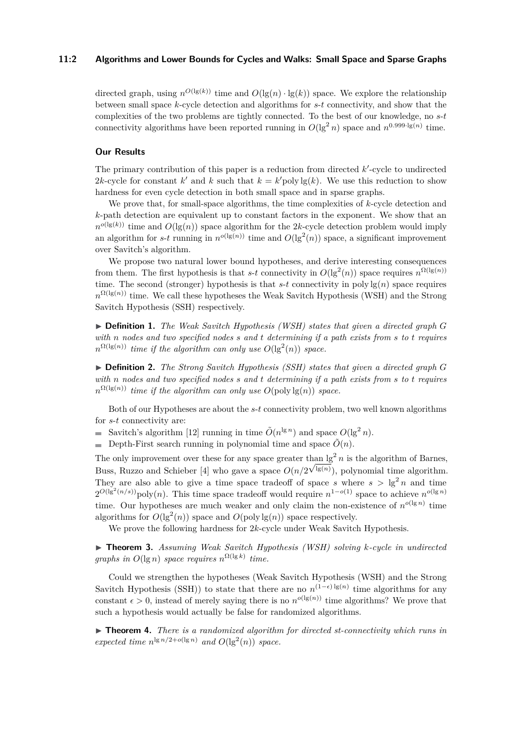#### **11:2 Algorithms and Lower Bounds for Cycles and Walks: Small Space and Sparse Graphs**

directed graph, using  $n^{O(\lg(k))}$  time and  $O(\lg(n) \cdot \lg(k))$  space. We explore the relationship between small space *k*-cycle detection and algorithms for *s*-*t* connectivity, and show that the complexities of the two problems are tightly connected. To the best of our knowledge, no *s*-*t* connectivity algorithms have been reported running in  $O(\lg^2 n)$  space and  $n^{0.999 \cdot \lg(n)}$  time.

#### **Our Results**

The primary contribution of this paper is a reduction from directed k'-cycle to undirected 2*k*-cycle for constant *k*' and *k* such that  $k = k'$  poly lg(*k*). We use this reduction to show hardness for even cycle detection in both small space and in sparse graphs.

We prove that, for small-space algorithms, the time complexities of *k*-cycle detection and *k*-path detection are equivalent up to constant factors in the exponent. We show that an  $n^{o(\lg(k))}$  time and  $O(\lg(n))$  space algorithm for the 2*k*-cycle detection problem would imply an algorithm for *s*-*t* running in  $n^{o(\lg(n))}$  time and  $O(\lg^2(n))$  space, a significant improvement over Savitch's algorithm.

We propose two natural lower bound hypotheses, and derive interesting consequences from them. The first hypothesis is that *s*-*t* connectivity in  $O(\lg^2(n))$  space requires  $n^{\Omega(\lg(n))}$ time. The second (stronger) hypothesis is that  $s-t$  connectivity in poly  $\lg(n)$  space requires  $n^{\Omega(\lg(n))}$  time. We call these hypotheses the Weak Savitch Hypothesis (WSH) and the Strong Savitch Hypothesis (SSH) respectively.

▶ **Definition 1.** *The Weak Savitch Hypothesis (WSH) states that given a directed graph G with n nodes and two specified nodes s and t determining if a path exists from s to t requires*  $n^{\Omega(\lg(n))}$  *time if the algorithm can only use*  $O(\lg^2(n))$  *space.* 

 $\triangleright$  **Definition 2.** *The Strong Savitch Hypothesis (SSH) states that given a directed graph G with n nodes and two specified nodes s and t determining if a path exists from s to t requires*  $n^{\Omega(\lg(n))}$  *time if the algorithm can only use*  $O(\text{poly}\lg(n))$  *space.* 

Both of our Hypotheses are about the *s*-*t* connectivity problem, two well known algorithms for *s*-*t* connectivity are:

- Savitch's algorithm [\[12\]](#page-15-5) running in time  $\tilde{O}(n^{\lg n})$  and space  $O(\lg^2 n)$ .
- Depth-First search running in polynomial time and space  $\tilde{O}(n)$ .

The only improvement over these for any space greater than  $lg^2 n$  is the algorithm of Barnes, Buss, Ruzzo and Schieber [\[4\]](#page-14-2) who gave a space  $O(n/2^{\sqrt{\lg(n)}})$ , polynomial time algorithm. They are also able to give a time space tradeoff of space *s* where  $s > \lg^2 n$  and time  $2^{O(\lg^2(n/s))}$ poly(*n*). This time space tradeoff would require  $n^{1-o(1)}$  space to achieve  $n^{o(\lg n)}$ time. Our hypotheses are much weaker and only claim the non-existence of  $n^{o(\lg n)}$  time algorithms for  $O(\lg^2(n))$  space and  $O(poly \lg(n))$  space respectively.

We prove the following hardness for 2*k*-cycle under Weak Savitch Hypothesis.

<span id="page-1-0"></span>I **Theorem 3.** *Assuming Weak Savitch Hypothesis (WSH) solving k-cycle in undirected graphs in*  $O(\lg n)$  *space requires*  $n^{\Omega(\lg k)}$  *time.* 

Could we strengthen the hypotheses (Weak Savitch Hypothesis (WSH) and the Strong Savitch Hypothesis (SSH)) to state that there are no  $n^{(1-\epsilon)}$ <sup>[g(n)</sup> time algorithms for any constant  $\epsilon > 0$ , instead of merely saying there is no  $n^{o(\lg(n))}$  time algorithms? We prove that such a hypothesis would actually be false for randomized algorithms.

► **Theorem 4.** *There is a randomized algorithm for directed st-connectivity which runs in expected time*  $n^{\lg n/2 + o(\lg n)}$  *and*  $O(\lg^2(n))$  *space.*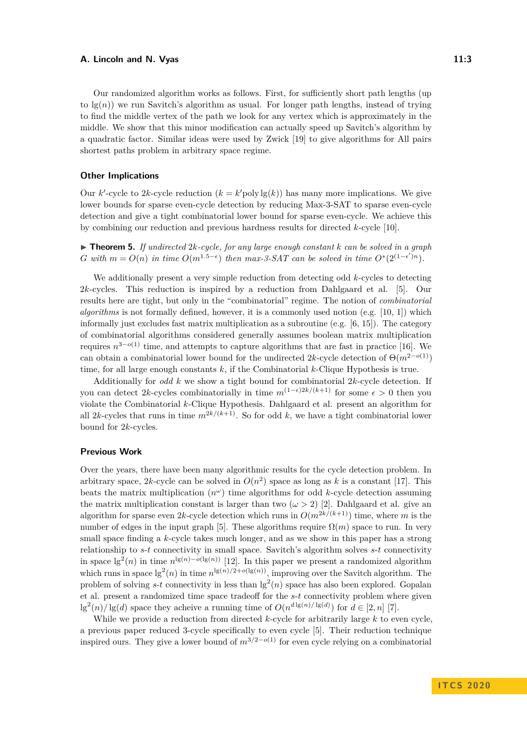Our randomized algorithm works as follows. First, for sufficiently short path lengths (up to  $\lg(n)$ ) we run Savitch's algorithm as usual. For longer path lengths, instead of trying to find the middle vertex of the path we look for any vertex which is approximately in the middle. We show that this minor modification can actually speed up Savitch's algorithm by a quadratic factor. Similar ideas were used by Zwick [\[19\]](#page-15-6) to give algorithms for All pairs shortest paths problem in arbitrary space regime.

#### **Other Implications**

Our *k*'-cycle to 2*k*-cycle reduction  $(k = k' \text{poly lg}(k))$  has many more implications. We give lower bounds for sparse even-cycle detection by reducing Max-3-SAT to sparse even-cycle detection and give a tight combinatorial lower bound for sparse even-cycle. We achieve this by combining our reduction and previous hardness results for directed *k*-cycle [\[10\]](#page-15-7).

 $\triangleright$  **Theorem 5.** *If undirected* 2*k-cycle, for any large enough constant k can be solved in a graph G* with  $m = O(n)$  in time  $O(m^{1.5-\epsilon})$  then max-3-SAT can be solved in time  $O^*(2^{(1-\epsilon')n})$ .

We additionally present a very simple reduction from detecting odd *k*-cycles to detecting 2*k*-cycles. This reduction is inspired by a reduction from Dahlgaard et al. [\[5\]](#page-15-1). Our results here are tight, but only in the "combinatorial" regime. The notion of *combinatorial algorithms* is not formally defined, however, it is a commonly used notion (e.g. [\[10,](#page-15-7) [1\]](#page-14-3)) which informally just excludes fast matrix multiplication as a subroutine (e.g. [\[6,](#page-15-8) [15\]](#page-15-9)). The category of combinatorial algorithms considered generally assumes boolean matrix multiplication requires  $n^{3-o(1)}$  time, and attempts to capture algorithms that are fast in practice [\[16\]](#page-15-10). We can obtain a combinatorial lower bound for the undirected 2*k*-cycle detection of  $\Theta(m^{2-o(1)})$ time, for all large enough constants *k*, if the Combinatorial *k*-Clique Hypothesis is true.

Additionally for *odd k* we show a tight bound for combinatorial 2*k*-cycle detection. If you can detect 2*k*-cycles combinatorially in time  $m^{(1-\epsilon)2k/(k+1)}$  for some  $\epsilon > 0$  then you violate the Combinatorial *k*-Clique Hypothesis. Dahlgaard et al. present an algorithm for all 2*k*-cycles that runs in time  $m^{2k/(k+1)}$ . So for odd *k*, we have a tight combinatorial lower bound for 2*k*-cycles.

#### **Previous Work**

Over the years, there have been many algorithmic results for the cycle detection problem. In arbitrary space, 2k-cycle can be solved in  $O(n^2)$  space as long as k is a constant [\[17\]](#page-15-0). This beats the matrix multiplication  $(n^{\omega})$  time algorithms for odd *k*-cycle detection assuming the matrix multiplication constant is larger than two  $(\omega > 2)$  [\[2\]](#page-14-0). Dahlgaard et al. give an algorithm for sparse even 2*k*-cycle detection which runs in  $O(m^{2k/(k+1)})$  time, where *m* is the number of edges in the input graph [\[5\]](#page-15-1). These algorithms require  $\Omega(m)$  space to run. In very small space finding a *k*-cycle takes much longer, and as we show in this paper has a strong relationship to *s*-*t* connectivity in small space. Savitch's algorithm solves *s*-*t* connectivity in space  $\lg^2(n)$  in time  $n^{\lg(n)-o(\lg(n))}$  [\[12\]](#page-15-5). In this paper we present a randomized algorithm which runs in space  $\lg^2(n)$  in time  $n^{\lg(n)/2+o(\lg(n))}$ , improving over the Savitch algorithm. The problem of solving  $s$ -*t* connectivity in less than  $\lg^2(n)$  space has also been explored. Gopalan et al. present a randomized time space tradeoff for the *s*-*t* connectivity problem where given  $\lg^2(n)/\lg(d)$  space they acheive a running time of  $O(n^{d \lg(n)/\lg(d)})$  for  $d \in [2, n]$  [\[7\]](#page-15-11).

While we provide a reduction from directed *k*-cycle for arbitrarily large *k* to even cycle, a previous paper reduced 3-cycle specifically to even cycle [\[5\]](#page-15-1). Their reduction technique inspired ours. They give a lower bound of  $m^{3/2-o(1)}$  for even cycle relying on a combinatorial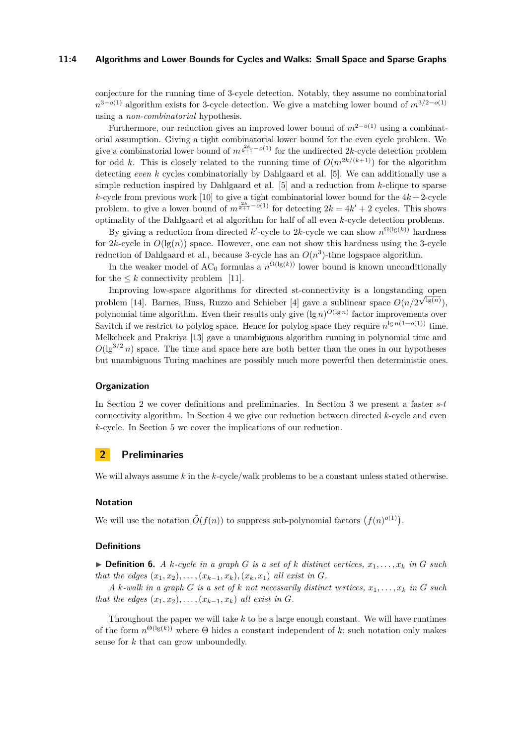#### **11:4 Algorithms and Lower Bounds for Cycles and Walks: Small Space and Sparse Graphs**

conjecture for the running time of 3-cycle detection. Notably, they assume no combinatorial *n*<sup>3−*o*(1)</sup> algorithm exists for 3-cycle detection. We give a matching lower bound of  $m^{3/2-o(1)}$ using a *non-combinatorial* hypothesis.

Furthermore, our reduction gives an improved lower bound of  $m^{2-o(1)}$  using a combinatorial assumption. Giving a tight combinatorial lower bound for the even cycle problem. We give a combinatorial lower bound of  $m^{\frac{2k}{k+1} - o(1)}$  for the undirected 2*k*-cycle detection problem for odd *k*. This is closely related to the running time of  $O(m^{2k/(k+1)})$  for the algorithm detecting *even k* cycles combinatorially by Dahlgaard et al. [\[5\]](#page-15-1). We can additionally use a simple reduction inspired by Dahlgaard et al. [\[5\]](#page-15-1) and a reduction from *k*-clique to sparse *k*-cycle from previous work [\[10\]](#page-15-7) to give a tight combinatorial lower bound for the  $4k + 2$ -cycle problem. to give a lower bound of  $m^{\frac{2k}{k+1} - o(1)}$  for detecting  $2k = 4k' + 2$  cycles. This shows optimality of the Dahlgaard et al algorithm for half of all even *k*-cycle detection problems.

By giving a reduction from directed  $k'$ -cycle to 2 $k$ -cycle we can show  $n^{\Omega(\lg(k))}$  hardness for  $2k$ -cycle in  $O(\lg(n))$  space. However, one can not show this hardness using the 3-cycle reduction of Dahlgaard et al., because 3-cycle has an  $O(n^3)$ -time logspace algorithm.

In the weaker model of  $AC_0$  formulas a  $n^{\Omega(\lg(k))}$  lower bound is known unconditionally for the  $\leq k$  connectivity problem [\[11\]](#page-15-12).

Improving low-space algorithms for directed st-connectivity is a longstanding open problem [\[14\]](#page-15-13). Barnes, Buss, Ruzzo and Schieber [\[4\]](#page-14-2) gave a sublinear space  $O(n/2^{\sqrt{\lg(n)}})$ , polynomial time algorithm. Even their results only give  $(\lg n)^{O(\lg n)}$  factor improvements over Savitch if we restrict to polylog space. Hence for polylog space they require  $n^{\lg n(1-o(1))}$  time. Melkebeek and Prakriya [\[13\]](#page-15-14) gave a unambiguous algorithm running in polynomial time and  $O(\lg^{3/2} n)$  space. The time and space here are both better than the ones in our hypotheses but unambiguous Turing machines are possibly much more powerful then deterministic ones.

## **Organization**

In Section [2](#page-3-0) we cover definitions and preliminaries. In Section [3](#page-4-0) we present a faster *s*-*t* connectivity algorithm. In Section [4](#page-7-0) we give our reduction between directed *k*-cycle and even *k*-cycle. In Section [5](#page-10-0) we cover the implications of our reduction.

## <span id="page-3-0"></span>**2 Preliminaries**

We will always assume *k* in the *k*-cycle/walk problems to be a constant unless stated otherwise.

## **Notation**

We will use the notation  $\tilde{O}(f(n))$  to suppress sub-polynomial factors  $(f(n)^{o(1)})$ .

## **Definitions**

 $\triangleright$  **Definition 6.** *A k*-cycle in a graph *G* is a set of *k* distinct vertices,  $x_1, \ldots, x_k$  in *G* such *that the edges*  $(x_1, x_2), \ldots, (x_{k-1}, x_k), (x_k, x_1)$  *all exist in G*.

*A*  $k$ -walk in a graph  $G$  is a set of  $k$  not necessarily distinct vertices,  $x_1, \ldots, x_k$  in  $G$  such *that the edges*  $(x_1, x_2), \ldots, (x_{k-1}, x_k)$  *all exist in G*.

Throughout the paper we will take *k* to be a large enough constant. We will have runtimes of the form  $n^{\Theta(\lg(k))}$  where  $\Theta$  hides a constant independent of k; such notation only makes sense for *k* that can grow unboundedly.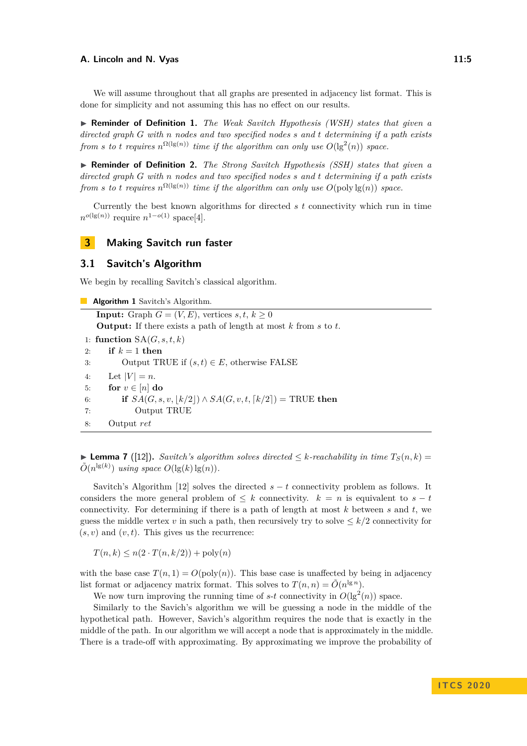We will assume throughout that all graphs are presented in adjacency list format. This is done for simplicity and not assuming this has no effect on our results.

▶ **Reminder of Definition 1.** *The Weak Savitch Hypothesis (WSH) states that given a directed graph G with n nodes and two specified nodes s and t determining if a path exists from s to t requires*  $n^{\Omega(\lg(n))}$  *time if the algorithm can only use*  $O(\lg^2(n))$  *space.* 

I **Reminder of Definition 2.** *The Strong Savitch Hypothesis (SSH) states that given a directed graph G with n nodes and two specified nodes s and t determining if a path exists from s to t requires*  $n^{\Omega(\lg(n))}$  *time if the algorithm can only use*  $O(\text{poly}\lg(n))$  *space.* 

Currently the best known algorithms for directed *s t* connectivity which run in time  $n^{o(\lg(n))}$  require  $n^{1-o(1)}$  space[\[4\]](#page-14-2).

## <span id="page-4-0"></span>**3 Making Savitch run faster**

## **3.1 Savitch's Algorithm**

We begin by recalling Savitch's classical algorithm.

**Algorithm 1** Savitch's Algorithm. **Input:** Graph  $G = (V, E)$ , vertices  $s, t, k \geq 0$ **Output:** If there exists a path of length at most *k* from *s* to *t*. 1: **function**  $SA(G, s, t, k)$ 2: **if**  $k = 1$  **then** 3: Output TRUE if  $(s, t) \in E$ , otherwise FALSE 4: Let  $|V| = n$ . 5: **for**  $v \in [n]$  **do** 6: **if**  $SA(G, s, v, \lfloor k/2 \rfloor) \land SA(G, v, t, \lceil k/2 \rceil) = \text{TRUE}$  then 7: Output TRUE 8: Output *ret*

<span id="page-4-1"></span>**► Lemma 7** ([\[12\]](#page-15-5)). *Savitch's algorithm solves directed*  $\leq k$ -reachability in time  $T_S(n, k) =$  $\tilde{O}(n^{\lg(k)})$  *using space*  $O(\lg(k)\lg(n))$ *.* 

Savitch's Algorithm [\[12\]](#page-15-5) solves the directed  $s - t$  connectivity problem as follows. It considers the more general problem of  $\leq k$  connectivity.  $k = n$  is equivalent to  $s - t$ connectivity. For determining if there is a path of length at most *k* between *s* and *t*, we guess the middle vertex *v* in such a path, then recursively try to solve  $\leq k/2$  connectivity for  $(s, v)$  and  $(v, t)$ . This gives us the recurrence:

 $T(n, k) \leq n(2 \cdot T(n, k/2)) + \text{poly}(n)$ 

with the base case  $T(n, 1) = O(\text{poly}(n))$ . This base case is unaffected by being in adjacency list format or adjacency matrix format. This solves to  $T(n,n) = \tilde{O}(n^{\lg n})$ .

We now turn improving the running time of  $s$ - $t$  connectivity in  $O(\lg^2(n))$  space.

Similarly to the Savich's algorithm we will be guessing a node in the middle of the hypothetical path. However, Savich's algorithm requires the node that is exactly in the middle of the path. In our algorithm we will accept a node that is approximately in the middle. There is a trade-off with approximating. By approximating we improve the probability of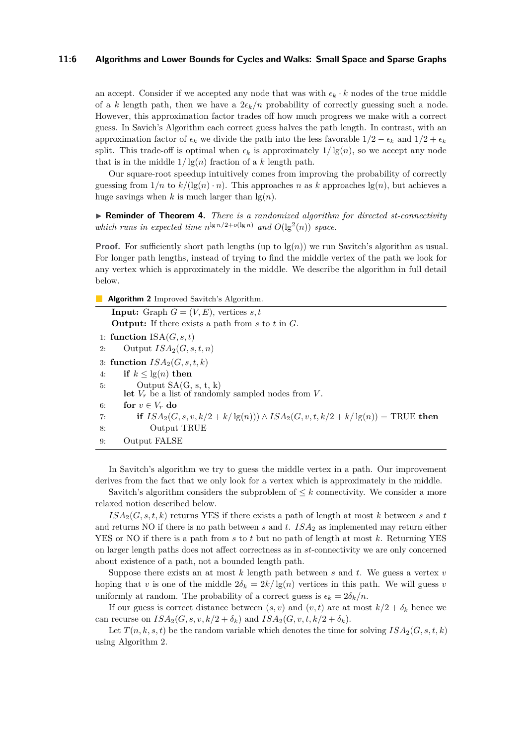#### **11:6 Algorithms and Lower Bounds for Cycles and Walks: Small Space and Sparse Graphs**

an accept. Consider if we accepted any node that was with  $\epsilon_k \cdot k$  nodes of the true middle of a *k* length path, then we have a  $2\epsilon_k/n$  probability of correctly guessing such a node. However, this approximation factor trades off how much progress we make with a correct guess. In Savich's Algorithm each correct guess halves the path length. In contrast, with an approximation factor of  $\epsilon_k$  we divide the path into the less favorable  $1/2 - \epsilon_k$  and  $1/2 + \epsilon_k$ split. This trade-off is optimal when  $\epsilon_k$  is approximately  $1/\lg(n)$ , so we accept any node that is in the middle  $1/\lg(n)$  fraction of a *k* length path.

Our square-root speedup intuitively comes from improving the probability of correctly guessing from  $1/n$  to  $k/(\lg(n) \cdot n)$ . This approaches *n* as *k* approaches  $\lg(n)$ , but achieves a huge savings when  $k$  is much larger than  $\lg(n)$ .

▶ **Reminder of Theorem 4.** *There is a randomized algorithm for directed st-connectivity which runs in expected time*  $n^{\lg n/2 + o(\lg n)}$  *and*  $O(\lg^2(n))$  *space.* 

**Proof.** For sufficiently short path lengths (up to  $\lg(n)$ ) we run Savitch's algorithm as usual. For longer path lengths, instead of trying to find the middle vertex of the path we look for any vertex which is approximately in the middle. We describe the algorithm in full detail below.

<span id="page-5-0"></span>**Algorithm 2** Improved Savitch's Algorithm.

**Input:** Graph  $G = (V, E)$ , vertices  $s, t$ **Output:** If there exists a path from *s* to *t* in *G*. 1: **function**  $ISA(G, s, t)$ 2: Output *ISA*2(*G, s, t, n*) 3: **function**  $ISA_2(G, s, t, k)$ 4: **if**  $k < \lg(n)$  **then** 5: Output  $SA(G, s, t, k)$ let  $V_r$  be a list of randomly sampled nodes from  $V$ . 6: **for**  $v \in V_r$  **do** 7: **if**  $ISA_2(G, s, v, k/2 + k/\lg(n)) \wedge ISA_2(G, v, t, k/2 + k/\lg(n)) = \text{TRUE}$  then 8: Output TRUE 9: Output FALSE

In Savitch's algorithm we try to guess the middle vertex in a path. Our improvement derives from the fact that we only look for a vertex which is approximately in the middle.

Savitch's algorithm considers the subproblem of  $\leq k$  connectivity. We consider a more relaxed notion described below.

 $ISA_2(G, s, t, k)$  returns YES if there exists a path of length at most  $k$  between  $s$  and  $t$ and returns NO if there is no path between *s* and *t*. *ISA*<sub>2</sub> as implemented may return either YES or NO if there is a path from *s* to *t* but no path of length at most *k*. Returning YES on larger length paths does not affect correctness as in *st*-connectivity we are only concerned about existence of a path, not a bounded length path.

Suppose there exists an at most *k* length path between *s* and *t*. We guess a vertex *v* hoping that *v* is one of the middle  $2\delta_k = 2k/\lg(n)$  vertices in this path. We will guess *v* uniformly at random. The probability of a correct guess is  $\epsilon_k = 2\delta_k/n$ .

If our guess is correct distance between  $(s, v)$  and  $(v, t)$  are at most  $k/2 + \delta_k$  hence we can recurse on  $ISA_2(G, s, v, k/2 + \delta_k)$  and  $ISA_2(G, v, t, k/2 + \delta_k)$ .

Let  $T(n, k, s, t)$  be the random variable which denotes the time for solving  $ISA_2(G, s, t, k)$ using Algorithm [2.](#page-5-0)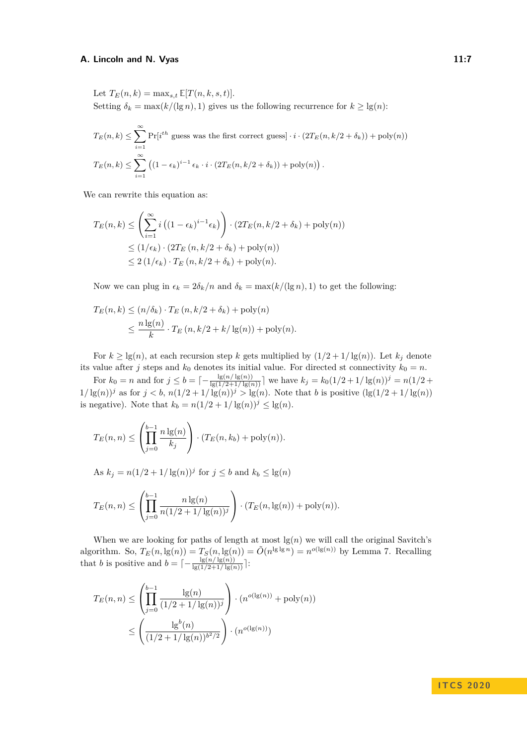Let  $T_E(n, k) = \max_{s,t} E[T(n, k, s, t)].$ 

Setting  $\delta_k = \max(k/(\lg n), 1)$  gives us the following recurrence for  $k \ge \lg(n)$ :

$$
T_E(n,k) \le \sum_{i=1}^{\infty} \Pr[i^{th} \text{ guess was the first correct guess}] \cdot i \cdot (2T_E(n,k/2+\delta_k)) + \text{poly}(n))
$$
  

$$
T_E(n,k) \le \sum_{i=1}^{\infty} \left( (1 - \epsilon_k)^{i-1} \epsilon_k \cdot i \cdot (2T_E(n,k/2+\delta_k)) + \text{poly}(n) \right).
$$

We can rewrite this equation as:

$$
T_E(n,k) \leq \left(\sum_{i=1}^{\infty} i \left((1 - \epsilon_k)^{i-1} \epsilon_k\right)\right) \cdot \left(2T_E(n, k/2 + \delta_k) + \text{poly}(n)\right)
$$
  

$$
\leq (1/\epsilon_k) \cdot \left(2T_E(n, k/2 + \delta_k) + \text{poly}(n)\right)
$$
  

$$
\leq 2(1/\epsilon_k) \cdot T_E(n, k/2 + \delta_k) + \text{poly}(n).
$$

Now we can plug in  $\epsilon_k = 2\delta_k/n$  and  $\delta_k = \max(k/(\lg n), 1)$  to get the following:

$$
T_E(n,k) \le (n/\delta_k) \cdot T_E(n,k/2+\delta_k) + \text{poly}(n)
$$
  

$$
\le \frac{n \lg(n)}{k} \cdot T_E(n,k/2+k/\lg(n)) + \text{poly}(n).
$$

For  $k \geq \lg(n)$ , at each recursion step *k* gets multiplied by  $(1/2 + 1/\lg(n))$ . Let  $k_j$  denote its value after *j* steps and  $k_0$  denotes its initial value. For directed st connectivity  $k_0 = n$ .

For  $k_0 = n$  and for  $j \le b = \lceil -\frac{\lg(n/\lg(n))}{\lg(1/2 + 1/\lg(n))} \rceil$  we have  $k_j = k_0(1/2 + 1/\lg(n))^j = n(1/2 + 1/2)$  $1/\lg(n)$ <sup>*j*</sup> as for  $j < b$ ,  $n(1/2 + 1/\lg(n))$ <sup>*j*</sup>  $> lg(n)$ . Note that *b* is positive  $(lg(1/2 + 1/\lg(n))$ is negative). Note that  $k_b = n(1/2 + 1/\lg(n))^j \le \lg(n)$ .

$$
T_E(n, n) \le \left(\prod_{j=0}^{b-1} \frac{n \lg(n)}{k_j}\right) \cdot (T_E(n, k_b) + \text{poly}(n)).
$$

As  $k_j = n(1/2 + 1/\lg(n))^j$  for  $j \leq b$  and  $k_b \leq \lg(n)$ 

$$
T_E(n, n) \le \left(\prod_{j=0}^{b-1} \frac{n \lg(n)}{n(1/2 + 1/\lg(n))^j}\right) \cdot (T_E(n, \lg(n)) + \text{poly}(n)).
$$

When we are looking for paths of length at most  $\lg(n)$  we will call the original Savitch's algorithm. So,  $T_E(n, \lg(n)) = T_S(n, \lg(n)) = \tilde{O}(n^{\lg\lg n}) = n^{o(\lg(n))}$  by Lemma [7.](#page-4-1) Recalling that *b* is positive and  $b = \lceil -\frac{\lg(n/\lg(n))}{\lg(1/2+1/\lg(n))} \rceil$ :

$$
T_E(n, n) \le \left(\prod_{j=0}^{b-1} \frac{\lg(n)}{(1/2 + 1/\lg(n))^j}\right) \cdot (n^{o(\lg(n))} + \text{poly}(n))
$$

$$
\le \left(\frac{\lg^b(n)}{(1/2 + 1/\lg(n))^{b^2/2}}\right) \cdot (n^{o(\lg(n))})
$$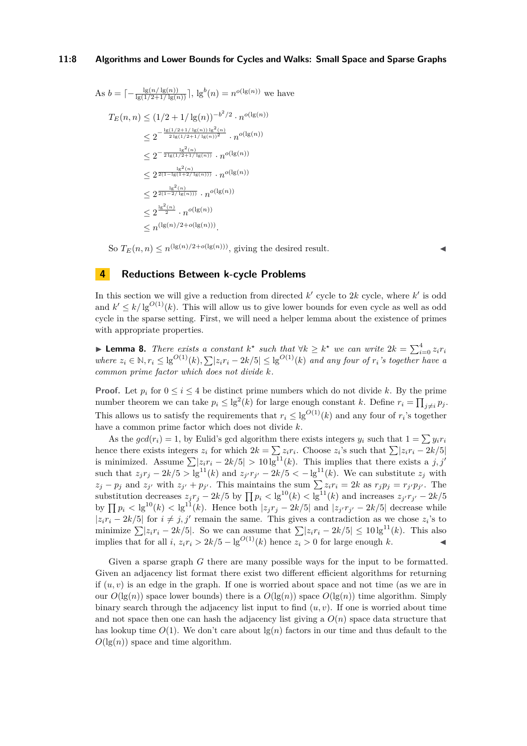As 
$$
b = \left[ -\frac{\lg(n/\lg(n))}{\lg(1/2 + 1/\lg(n))} \right], \lg^b(n) = n^{o(\lg(n))}
$$
 we have  
\n
$$
T_E(n, n) \leq (1/2 + 1/\lg(n))^{-b^2/2} \cdot n^{o(\lg(n))}
$$
\n
$$
\leq 2^{-\frac{\lg(1/2 + 1/\lg(n))\lg^2(n)}{2\lg(1/2 + 1/\lg(n))^2}} \cdot n^{o(\lg(n))}
$$
\n
$$
\leq 2^{-\frac{\lg^2(n)}{2\lg(1/2 + 1/\lg(n))}} \cdot n^{o(\lg(n))}
$$
\n
$$
\leq 2^{\frac{\lg^2(n)}{2(1 - \lg(1 + 2/\lg(n)))}} \cdot n^{o(\lg(n))}
$$
\n
$$
\leq 2^{\frac{\lg^2(n)}{2(1 - 2/\lg(n)))}} \cdot n^{o(\lg(n))}
$$
\n
$$
\leq 2^{\frac{\lg^2(n)}{2}} \cdot n^{o(\lg(n))}
$$
\n
$$
\leq n^{(\lg(n)/2 + o(\lg(n)))}.
$$

So  $T_E(n, n) \le n^{(\lg(n)/2 + o(\lg(n)))}$ , giving the desired result.

## <span id="page-7-0"></span>**4 Reductions Between k-cycle Problems**

In this section we will give a reduction from directed  $k'$  cycle to  $2k$  cycle, where  $k'$  is odd and  $k' \leq k/\lg^{O(1)}(k)$ . This will allow us to give lower bounds for even cycle as well as odd cycle in the sparse setting. First, we will need a helper lemma about the existence of primes with appropriate properties.

<span id="page-7-1"></span>**Example 12** *Phere exists a constant*  $k^*$  *such that*  $\forall k \geq k^*$  *we can write*  $2k = \sum_{i=0}^4 z_i r_i$ where  $z_i \in \mathbb{N}, r_i \le \lg^{O(1)}(k), \sum |z_i r_i - 2k/5| \le \lg^{O(1)}(k)$  and any four of  $r_i$ 's together have a *common prime factor which does not divide k.*

**Proof.** Let  $p_i$  for  $0 \le i \le 4$  be distinct prime numbers which do not divide k. By the prime number theorem we can take  $p_i \leq \lg^2(k)$  for large enough constant *k*. Define  $r_i = \prod_{j \neq i} p_j$ . This allows us to satisfy the requirements that  $r_i \leq \lg^{O(1)}(k)$  and any four of  $r_i$ 's together have a common prime factor which does not divide *k*.

As the  $gcd(r_i) = 1$ , by Eulid's gcd algorithm there exists integers  $y_i$  such that  $1 = \sum y_i r_i$ hence there exists integers  $z_i$  for which  $2k = \sum z_i r_i$ . Choose  $z_i$ 's such that  $\sum |z_i r_i - 2k/5|$ is minimized. Assume  $\sum |z_i r_i - 2k/5| > 10 \lg^{11}(k)$ . This implies that there exists a *j*, *j'* such that  $z_jr_j - 2k/5 > \lg^{11}(k)$  and  $z_{j'}r_{j'} - 2k/5 < -\lg^{11}(k)$ . We can substitute  $z_j$  with  $z_j - p_j$  and  $z_{j'}$  with  $z_{j'} + p_{j'}$ . This maintains the sum  $\sum z_i r_i = 2k$  as  $r_j p_j = r_{j'} p_{j'}$ . The substitution decreases  $z_jr_j - 2k/5$  by  $\prod p_i < \lg^{10}(k) < \lg^{11}(k)$  and increases  $z_{j'}r_{j'} - 2k/5$ by  $\prod p_i <$  lg<sup>10</sup>(*k*)  $<$  lg<sup>11</sup>(*k*). Hence both |z<sub>j</sub>r<sub>j</sub> − 2*k*/5| and |z<sub>j</sub><sup>*r*</sup><sub>j</sub><sup>*i*</sup> − 2*k*/5| decrease while  $|z_i r_i - 2k/5|$  for  $i \neq j, j'$  remain the same. This gives a contradiction as we chose  $z_i$ 's to minimize  $\sum |z_i r_i - 2k/5|$ . So we can assume that  $\sum |z_i r_i - 2k/5| \leq 10 \lg^{11}(k)$ . This also implies that for all  $i$ ,  $z_i r_i > 2k/5 - \lg^{O(1)}(k)$  hence  $z_i > 0$  for large enough k.

<span id="page-7-2"></span>Given a sparse graph *G* there are many possible ways for the input to be formatted. Given an adjacency list format there exist two different efficient algorithms for returning if  $(u, v)$  is an edge in the graph. If one is worried about space and not time (as we are in our  $O(\lg(n))$  space lower bounds) there is a  $O(\lg(n))$  space  $O(\lg(n))$  time algorithm. Simply binary search through the adjacency list input to find  $(u, v)$ . If one is worried about time and not space then one can hash the adjacency list giving a  $O(n)$  space data structure that has lookup time  $O(1)$ . We don't care about  $\lg(n)$  factors in our time and thus default to the  $O(\lg(n))$  space and time algorithm.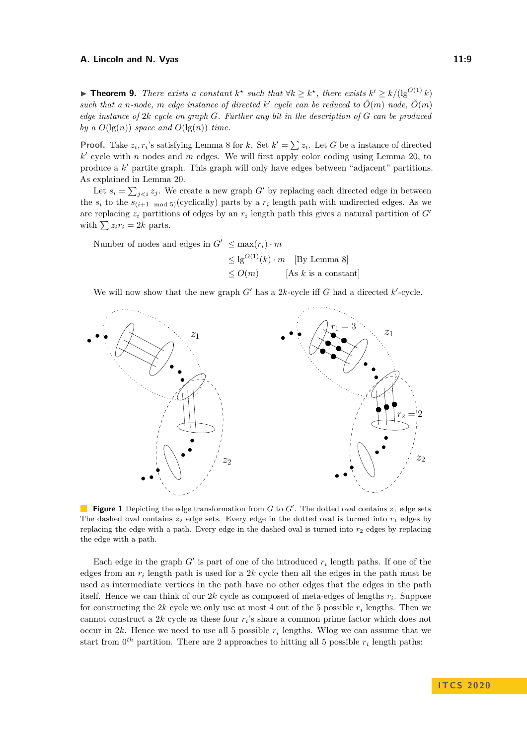▶ **Theorem 9.** *There exists a constant*  $k^*$  *such that*  $\forall k \geq k^*$ *, there exists*  $k' \geq k/(\lg^{O(1)} k)$ such that a *n*-node, *m* edge instance of directed  $k'$  cycle can be reduced to  $\tilde{O}(m)$  node,  $\tilde{O}(m)$ *edge instance of* 2*k cycle on graph G. Further any bit in the description of G can be produced by a*  $O(\lg(n))$  *space and*  $O(\lg(n))$  *time.* 

**Proof.** Take  $z_i, r_i$ 's satisfying Lemma [8](#page-7-1) for *k*. Set  $k' = \sum z_i$ . Let *G* be a instance of directed  $k'$  cycle with *n* nodes and *m* edges. We will first apply color coding using Lemma [20,](#page-16-1) to produce a k' partite graph. This graph will only have edges between "adjacent" partitions. As explained in Lemma [20.](#page-16-1)

Let  $s_i = \sum_{j. We create a new graph G' by replacing each directed edge in between$ the  $s_i$  to the  $s_{(i+1 \mod 5)}$  (cyclically) parts by a  $r_i$  length path with undirected edges. As we are replacing  $z_i$  partitions of edges by an  $r_i$  length path this gives a natural partition of  $G'$ with  $\sum z_i r_i = 2k$  parts.

Number of nodes and edges in  $G' \leq \max(r_i) \cdot m$ 

 $\leq$  lg<sup>O(1)</sup>(k) · *m* [By Lemma [8\]](#page-7-1)  $\leq O(m)$  [As *k* is a constant]

We will now show that the new graph  $G'$  has a 2*k*-cycle iff  $G$  had a directed  $k'$ -cycle.



**Figure 1** Depicting the edge transformation from  $G$  to  $G'$ . The dotted oval contains  $z_1$  edge sets. The dashed oval contains  $z_2$  edge sets. Every edge in the dotted oval is turned into  $r_1$  edges by replacing the edge with a path. Every edge in the dashed oval is turned into  $r_2$  edges by replacing the edge with a path.

Each edge in the graph  $G'$  is part of one of the introduced  $r_i$  length paths. If one of the edges from an *r<sup>i</sup>* length path is used for a 2*k* cycle then all the edges in the path must be used as intermediate vertices in the path have no other edges that the edges in the path itself. Hence we can think of our 2*k* cycle as composed of meta-edges of lengths *r<sup>i</sup>* . Suppose for constructing the 2*k* cycle we only use at most 4 out of the 5 possible *r<sup>i</sup>* lengths. Then we cannot construct a 2*k* cycle as these four *r<sup>i</sup>* 's share a common prime factor which does not occur in  $2k$ . Hence we need to use all 5 possible  $r_i$  lengths. Wlog we can assume that we start from  $0^{th}$  partition. There are 2 approaches to hitting all 5 possible  $r_i$  length paths: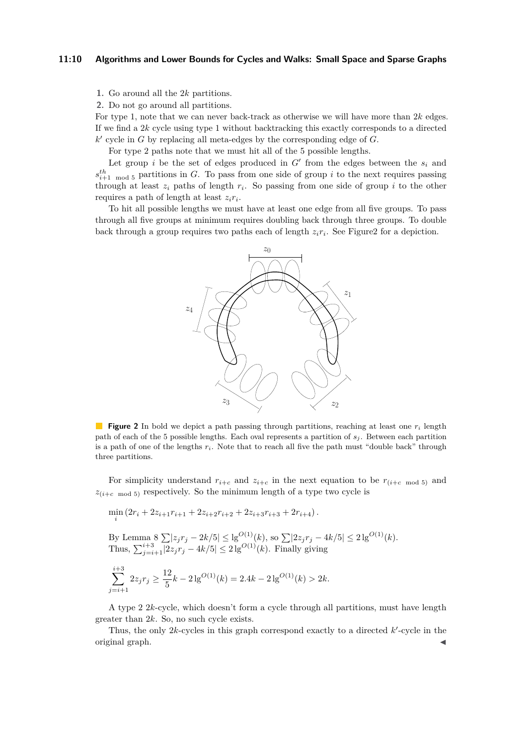#### **11:10 Algorithms and Lower Bounds for Cycles and Walks: Small Space and Sparse Graphs**

**1.** Go around all the 2*k* partitions.

**2.** Do not go around all partitions.

For type 1, note that we can never back-track as otherwise we will have more than 2*k* edges. If we find a 2*k* cycle using type 1 without backtracking this exactly corresponds to a directed  $k'$  cycle in  $G$  by replacing all meta-edges by the corresponding edge of  $G$ .

For type 2 paths note that we must hit all of the 5 possible lengths.

Let group *i* be the set of edges produced in  $G'$  from the edges between the  $s_i$  and  $s_{i+1 \mod 5}^{th}$  partitions in *G*. To pass from one side of group *i* to the next requires passing through at least  $z_i$  paths of length  $r_i$ . So passing from one side of group  $i$  to the other requires a path of length at least *zir<sup>i</sup>* .

<span id="page-9-0"></span>To hit all possible lengths we must have at least one edge from all five groups. To pass through all five groups at minimum requires doubling back through three groups. To double back through a group requires two paths each of length  $z_i r_i$ . See Figure 2 for a depiction.



**Figure 2** In bold we depict a path passing through partitions, reaching at least one *r<sup>i</sup>* length path of each of the 5 possible lengths. Each oval represents a partition of *s<sup>j</sup>* . Between each partition is a path of one of the lengths *ri*. Note that to reach all five the path must "double back" through three partitions.

For simplicity understand  $r_{i+c}$  and  $z_{i+c}$  in the next equation to be  $r_{(i+c \mod 5)}$  and  $z_{(i+c \mod 5)}$  respectively. So the minimum length of a type two cycle is

$$
\min_{i} (2r_i + 2z_{i+1}r_{i+1} + 2z_{i+2}r_{i+2} + 2z_{i+3}r_{i+3} + 2r_{i+4}).
$$

By Lemma 8 
$$
\sum |z_j r_j - 2k/5| \le \lg^{O(1)}(k)
$$
, so  $\sum |2z_j r_j - 4k/5| \le 2 \lg^{O(1)}(k)$ .  
Thus,  $\sum_{j=i+1}^{i+3} |2z_j r_j - 4k/5| \le 2 \lg^{O(1)}(k)$ . Finally giving

$$
\sum_{j=i+1}^{i+3} 2z_j r_j \ge \frac{12}{5}k - 2\lg^{O(1)}(k) = 2.4k - 2\lg^{O(1)}(k) > 2k.
$$

A type 2 2*k*-cycle, which doesn't form a cycle through all partitions, must have length greater than 2*k*. So, no such cycle exists.

Thus, the only  $2k$ -cycles in this graph correspond exactly to a directed  $k'$ -cycle in the original graph. J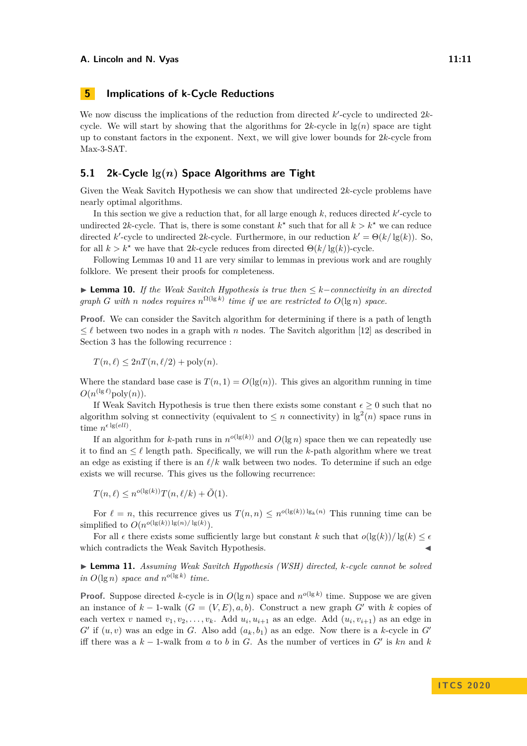# <span id="page-10-0"></span>**5 Implications of k-Cycle Reductions**

We now discuss the implications of the reduction from directed  $k'$ -cycle to undirected  $2k$ cycle. We will start by showing that the algorithms for  $2k$ -cycle in  $\lg(n)$  space are tight up to constant factors in the exponent. Next, we will give lower bounds for 2*k*-cycle from Max-3-SAT.

## **5.1 2k-Cycle lg(***n***) Space Algorithms are Tight**

Given the Weak Savitch Hypothesis we can show that undirected 2*k*-cycle problems have nearly optimal algorithms.

In this section we give a reduction that, for all large enough  $k$ , reduces directed  $k'$ -cycle to undirected 2k-cycle. That is, there is some constant  $k^*$  such that for all  $k > k^*$  we can reduce directed *k*'-cycle to undirected 2*k*-cycle. Furthermore, in our reduction  $k' = \Theta(k/\lg(k))$ . So, for all  $k > k^*$  we have that 2*k*-cycle reduces from directed  $\Theta(k/ \lg(k))$ -cycle.

Following Lemmas [10](#page-10-1) and [11](#page-10-2) are very similar to lemmas in previous work and are roughly folklore. We present their proofs for completeness.

<span id="page-10-1"></span>I **Lemma 10.** *If the Weak Savitch Hypothesis is true then* ≤ *k*−*connectivity in an directed graph G* with *n* nodes requires  $n^{\Omega(\lg k)}$  time if we are restricted to  $O(\lg n)$  space.

**Proof.** We can consider the Savitch algorithm for determining if there is a path of length  $\leq \ell$  between two nodes in a graph with *n* nodes. The Savitch algorithm [\[12\]](#page-15-5) as described in Section [3](#page-4-0) has the following recurrence :

 $T(n, \ell) \leq 2nT(n, \ell/2) + \text{poly}(n).$ 

Where the standard base case is  $T(n, 1) = O(\lg(n))$ . This gives an algorithm running in time  $O(n^{(\lg \ell)} \text{poly}(n)).$ 

If Weak Savitch Hypothesis is true then there exists some constant  $\epsilon > 0$  such that no algorithm solving st connectivity (equivalent to  $\leq n$  connectivity) in  $\lg^2(n)$  space runs in time  $n^{\epsilon \lg(ell)}$ .

If an algorithm for *k*-path runs in  $n^{o(\lg(k))}$  and  $O(\lg n)$  space then we can repeatedly use it to find an  $\leq \ell$  length path. Specifically, we will run the *k*-path algorithm where we treat an edge as existing if there is an  $\ell/k$  walk between two nodes. To determine if such an edge exists we will recurse. This gives us the following recurrence:

$$
T(n,\ell) \le n^{o(\lg(k))} T(n,\ell/k) + \tilde{O}(1).
$$

For  $\ell = n$ , this recurrence gives us  $T(n,n) \leq n^{o(\lg(k))\lg_k(n)}$  This running time can be simplified to  $O(n^{o(\lg(k)) \lg(n) / \lg(k)})$ .

For all  $\epsilon$  there exists some sufficiently large but constant *k* such that  $o(\lg(k))/\lg(k) \leq \epsilon$ which contradicts the Weak Savitch Hypothesis.

<span id="page-10-2"></span>I **Lemma 11.** *Assuming Weak Savitch Hypothesis (WSH) directed, k-cycle cannot be solved in*  $O(\lg n)$  *space and*  $n^{o(\lg k)}$  *time.* 

**Proof.** Suppose directed *k*-cycle is in  $O(\lg n)$  space and  $n^{o(\lg k)}$  time. Suppose we are given an instance of  $k-1$ -walk  $(G = (V, E), a, b)$ . Construct a new graph  $G'$  with  $k$  copies of each vertex *v* named  $v_1, v_2, \ldots, v_k$ . Add  $u_i, u_{i+1}$  as an edge. Add  $(u_i, v_{i+1})$  as an edge in  $G'$  if  $(u, v)$  was an edge in  $G$ . Also add  $(a_k, b_1)$  as an edge. Now there is a *k*-cycle in  $G'$ iff there was a  $k-1$ -walk from  $a$  to  $b$  in  $G$ . As the number of vertices in  $G'$  is  $kn$  and  $k$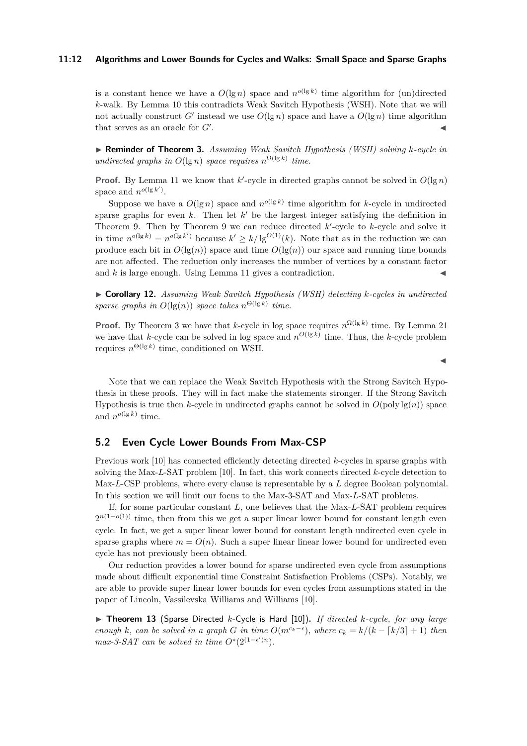#### **11:12 Algorithms and Lower Bounds for Cycles and Walks: Small Space and Sparse Graphs**

is a constant hence we have a  $O(\lg n)$  space and  $n^{o(\lg k)}$  time algorithm for (un)directed *k*-walk. By Lemma [10](#page-10-1) this contradicts Weak Savitch Hypothesis (WSH). Note that we will not actually construct *G'* instead we use  $O(\lg n)$  space and have a  $O(\lg n)$  time algorithm that serves as an oracle for  $G'$ . . John Paris, John Paris, John Paris, John Paris, John Paris, John Paris, John Paris, John Paris, John Paris,

I **Reminder of Theorem 3.** *Assuming Weak Savitch Hypothesis (WSH) solving k-cycle in undirected graphs in*  $O(\lg n)$  *space requires*  $n^{\Omega(\lg k)}$  *time.* 

**Proof.** By Lemma [11](#page-10-2) we know that  $k'$ -cycle in directed graphs cannot be solved in  $O(\lg n)$ space and  $n^{o(\lg k')}$ .

Suppose we have a  $O(\lg n)$  space and  $n^{o(\lg k)}$  time algorithm for *k*-cycle in undirected sparse graphs for even  $k$ . Then let  $k'$  be the largest integer satisfying the definition in Theorem [9.](#page-7-2) Then by Theorem [9](#page-7-2) we can reduce directed  $k'$ -cycle to  $k$ -cycle and solve it in time  $n^{o(\lg k)} = n^{o(\lg k')}$  because  $k' \geq k/\lg^{O(1)}(k)$ . Note that as in the reduction we can produce each bit in  $O(\lg(n))$  space and time  $O(\lg(n))$  our space and running time bounds are not affected. The reduction only increases the number of vertices by a constant factor and  $k$  is large enough. Using Lemma [11](#page-10-2) gives a contradiction.

I **Corollary 12.** *Assuming Weak Savitch Hypothesis (WSH) detecting k-cycles in undirected sparse graphs in*  $O(\lg(n))$  *space takes*  $n^{\Theta(\lg k)}$  *time.* 

**Proof.** By Theorem [3](#page-1-0) we have that *k*-cycle in log space requires  $n^{\Omega(\lg k)}$  time. By Lemma [21](#page-16-2) we have that *k*-cycle can be solved in log space and  $n^{O(\lg k)}$  time. Thus, the *k*-cycle problem requires  $n^{\Theta(\lg k)}$  time, conditioned on WSH.

Note that we can replace the Weak Savitch Hypothesis with the Strong Savitch Hypothesis in these proofs. They will in fact make the statements stronger. If the Strong Savitch Hypothesis is true then *k*-cycle in undirected graphs cannot be solved in  $O(\text{poly}\lg(n))$  space and  $n^{o(\lg k)}$  time.

## **5.2 Even Cycle Lower Bounds From Max-CSP**

Previous work [\[10\]](#page-15-7) has connected efficiently detecting directed *k*-cycles in sparse graphs with solving the Max-*L*-SAT problem [\[10\]](#page-15-7). In fact, this work connects directed *k*-cycle detection to Max-*L*-CSP problems, where every clause is representable by a *L* degree Boolean polynomial. In this section we will limit our focus to the Max-3-SAT and Max-*L*-SAT problems.

If, for some particular constant *L*, one believes that the Max-*L*-SAT problem requires  $2^{n(1-o(1))}$  time, then from this we get a super linear lower bound for constant length even cycle. In fact, we get a super linear lower bound for constant length undirected even cycle in sparse graphs where  $m = O(n)$ . Such a super linear linear lower bound for undirected even cycle has not previously been obtained.

Our reduction provides a lower bound for sparse undirected even cycle from assumptions made about difficult exponential time Constraint Satisfaction Problems (CSPs). Notably, we are able to provide super linear lower bounds for even cycles from assumptions stated in the paper of Lincoln, Vassilevska Williams and Williams [\[10\]](#page-15-7).

▶ Theorem 13 (Sparse Directed *k*-Cycle is Hard [\[10\]](#page-15-7)), *If directed k-cycle, for any large enough k*, can be solved in a graph *G* in time  $O(m^{c_k-\epsilon})$ , where  $c_k = k/(k - \lceil k/3 \rceil + 1)$  then *max-3-SAT can be solved in time*  $O^*(2^{(1-\epsilon')n})$ *.* 

J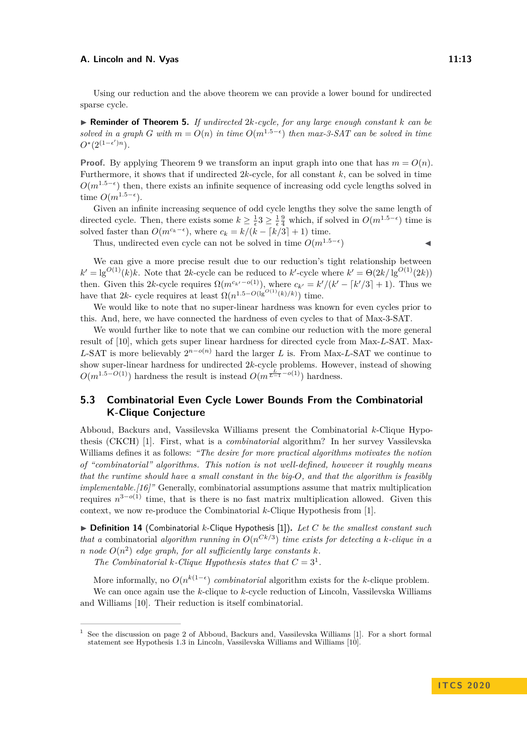Using our reduction and the above theorem we can provide a lower bound for undirected sparse cycle.

I **Reminder of Theorem 5.** *If undirected* 2*k-cycle, for any large enough constant k can be solved in a graph G with*  $m = O(n)$  *in time*  $O(m^{1.5-\epsilon})$  *then*  $max-3-SAT$  *can be solved in time*  $O^*(2^{(1-\epsilon')n})$ *.* 

**Proof.** By applying Theorem [9](#page-7-2) we transform an input graph into one that has  $m = O(n)$ . Furthermore, it shows that if undirected 2*k*-cycle, for all constant *k*, can be solved in time  $O(m^{1.5-\epsilon})$  then, there exists an infinite sequence of increasing odd cycle lengths solved in time  $O(m^{1.5-\epsilon})$ .

Given an infinite increasing sequence of odd cycle lengths they solve the same length of directed cycle. Then, there exists some  $k \geq \frac{1}{\epsilon} \leq \frac{1}{\epsilon} \frac{9}{4}$  which, if solved in  $O(m^{1.5-\epsilon})$  time is solved faster than  $O(m^{c_k-\epsilon})$ , where  $c_k = k/(k - \lceil k/3 \rceil + 1)$  time.

Thus, undirected even cycle can not be solved in time  $O(m^{1.5-\epsilon})$  $)$ 

We can give a more precise result due to our reduction's tight relationship between  $k' = \lg^{O(1)}(k)k$ . Note that 2*k*-cycle can be reduced to *k*'-cycle where  $k' = \Theta(2k/\lg^{O(1)}(2k))$ then. Given this 2*k*-cycle requires  $\Omega(m^{c_k/-o(1)})$ , where  $c_{k'} = k'/(k' - \lceil k'/3 \rceil + 1)$ . Thus we have that 2*k*- cycle requires at least  $\Omega(n^{1.5-O(\lg^{O(1)}(k)/k}))$  time.

We would like to note that no super-linear hardness was known for even cycles prior to this. And, here, we have connected the hardness of even cycles to that of Max-3-SAT.

We would further like to note that we can combine our reduction with the more general result of [\[10\]](#page-15-7), which gets super linear hardness for directed cycle from Max-*L*-SAT. Max-*L*-SAT is more believably  $2^{n-o(n)}$  hard the larger *L* is. From Max-*L*-SAT we continue to show super-linear hardness for undirected 2*k*-cycle problems. However, instead of showing  $O(m^{1.5-O(1)})$  hardness the result is instead  $O(m^{\frac{L}{L-1} - o(1)})$  hardness.

# **5.3 Combinatorial Even Cycle Lower Bounds From the Combinatorial K-Clique Conjecture**

Abboud, Backurs and, Vassilevska Williams present the Combinatorial *k*-Clique Hypothesis (CKCH) [\[1\]](#page-14-3). First, what is a *combinatorial* algorithm? In her survey Vassilevska Williams defines it as follows: *"The desire for more practical algorithms motivates the notion of "combinatorial" algorithms. This notion is not well-defined, however it roughly means that the runtime should have a small constant in the big-O, and that the algorithm is feasibly implementable.[\[16\]](#page-15-10)"* Generally, combinatorial assumptions assume that matrix multiplication requires  $n^{3-o(1)}$  time, that is there is no fast matrix multiplication allowed. Given this context, we now re-produce the Combinatorial *k*-Clique Hypothesis from [\[1\]](#page-14-3).

▶ **Definition 14** (Combinatorial *k*-Clique Hypothesis [\[1\]](#page-14-3)). Let *C* be the smallest constant such *that a* combinatorial *algorithm running in*  $O(n^{Ck/3})$  *time exists for detecting a k*-*clique in a n node*  $O(n^2)$  *edge graph, for all sufficiently large constants*  $k$ *.* 

*The Combinatorial k*-*Clique Hypothesis states that*  $C = 3<sup>1</sup>$  $C = 3<sup>1</sup>$  $C = 3<sup>1</sup>$ *.* 

More informally, no  $O(n^{k(1-\epsilon)})$  *combinatorial* algorithm exists for the *k*-clique problem. We can once again use the *k*-clique to *k*-cycle reduction of Lincoln, Vassilevska Williams and Williams [\[10\]](#page-15-7). Their reduction is itself combinatorial.

<span id="page-12-1"></span><span id="page-12-0"></span><sup>1</sup> See the discussion on page 2 of Abboud, Backurs and, Vassilevska Williams [\[1\]](#page-14-3). For a short formal statement see Hypothesis 1.3 in Lincoln, Vassilevska Williams and Williams [\[10\]](#page-15-7).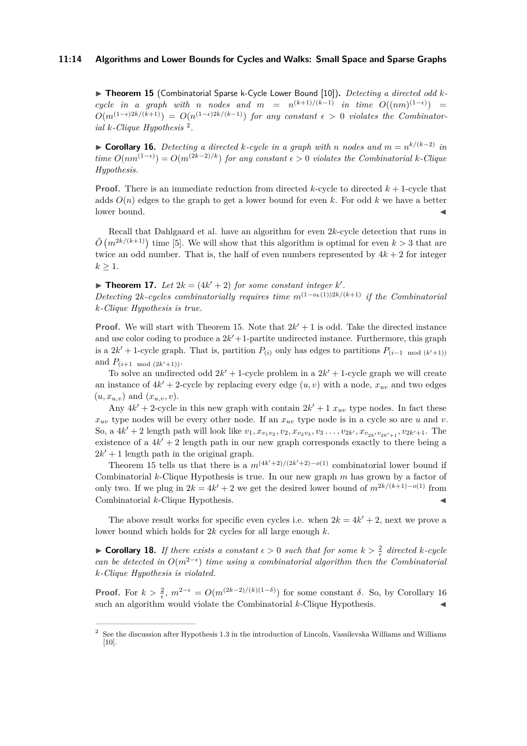#### **11:14 Algorithms and Lower Bounds for Cycles and Walks: Small Space and Sparse Graphs**

▶ Theorem 15 (Combinatorial Sparse k-Cycle Lower Bound [\[10\]](#page-15-7)). *Detecting a directed odd kcycle in a graph with n nodes* and  $m = n^{(k+1)/(k-1)}$  *in time*  $O((nm)^{(1-\epsilon)})$  $O(m^{(1-\epsilon)2k/(k+1)}) = O(n^{(1-\epsilon)2k/(k-1)})$  for any constant  $\epsilon > 0$  violates the Combinator*ial k-Clique Hypothesis* [2](#page-13-0) *.*

<span id="page-13-1"></span>▶ **Corollary 16.** Detecting a directed *k*-cycle in a graph with *n* nodes and  $m = n^{k/(k-2)}$  in  $time\ O(nm^{(1-\epsilon)}) = O(m^{(2k-2)/k})$  *for any constant*  $\epsilon > 0$  *violates the Combinatorial k*-*Clique Hypothesis.*

**Proof.** There is an immediate reduction from directed  $k$ -cycle to directed  $k + 1$ -cycle that adds  $O(n)$  edges to the graph to get a lower bound for even k. For odd k we have a better  $\blacksquare$ lower bound.

Recall that Dahlgaard et al. have an algorithm for even 2*k*-cycle detection that runs in  $\tilde{O}(m^{2k/(k+1)})$  time [\[5\]](#page-15-1). We will show that this algorithm is optimal for even  $k > 3$  that are twice an odd number. That is, the half of even numbers represented by  $4k + 2$  for integer  $k \geq 1$ .

**Findment 17.** Let  $2k = (4k' + 2)$  for some constant integer k'. *Detecting* 2*k*-cycles combinatorially requires time  $m^{(1-o_k(1))2k/(k+1)}$  if the Combinatorial *k-Clique Hypothesis is true.*

**Proof.** We will start with Theorem [15.](#page-12-1) Note that  $2k' + 1$  is odd. Take the directed instance and use color coding to produce a  $2k' + 1$ -partite undirected instance. Furthermore, this graph is a 2 $k'$  + 1-cycle graph. That is, partition  $P_{(i)}$  only has edges to partitions  $P_{(i-1 \mod (k'+1))}$ and  $P_{(i+1 \mod (2k'+1))}$ .

To solve an undirected odd  $2k' + 1$ -cycle problem in a  $2k' + 1$ -cycle graph we will create an instance of  $4k' + 2$ -cycle by replacing every edge  $(u, v)$  with a node,  $x_{uv}$  and two edges  $(u, x_{u,v})$  and  $(x_{u,v}, v)$ .

Any  $4k' + 2$ -cycle in this new graph with contain  $2k' + 1 x_{uv}$  type nodes. In fact these  $x_{uv}$  type nodes will be every other node. If an  $x_{uv}$  type node is in a cycle so are *u* and *v*. So, a  $4k' + 2$  length path will look like  $v_1, x_{v_1v_2}, v_2, x_{v_2v_3}, v_3 \ldots, v_{2k'}, x_{v_{2k'}v_{2k'+1}}, v_{2k'+1}$ . The existence of a  $4k' + 2$  length path in our new graph corresponds exactly to there being a  $2k' + 1$  length path in the original graph.

Theorem [15](#page-12-1) tells us that there is a  $m^{(4k'+2)/(2k'+2)-o(1)}$  combinatorial lower bound if Combinatorial *k*-Clique Hypothesis is true. In our new graph *m* has grown by a factor of only two. If we plug in  $2k = 4k' + 2$  we get the desired lower bound of  $m^{2k/(k+1)-o(1)}$  from Combinatorial *k*-Clique Hypothesis.

The above result works for specific even cycles i.e. when  $2k = 4k' + 2$ , next we prove a lower bound which holds for 2*k* cycles for all large enough *k*.

**Corollary 18.** If there exists a constant  $\epsilon > 0$  such that for some  $k > \frac{2}{\epsilon}$  directed k-cycle *can be detected in*  $O(m^{2-\epsilon})$  *time using a combinatorial algorithm then the Combinatorial k-Clique Hypothesis is violated.*

**Proof.** For  $k > \frac{2}{\epsilon}$ ,  $m^{2-\epsilon} = O(m^{(2k-2)/(k)(1-\delta)})$  for some constant  $\delta$ . So, by Corollary [16](#page-13-1) such an algorithm would violate the Combinatorial  $k$ -Clique Hypothesis.

<span id="page-13-0"></span><sup>2</sup> See the discussion after Hypothesis 1.3 in the introduction of Lincoln, Vassilevska Williams and Williams  $[10]$ .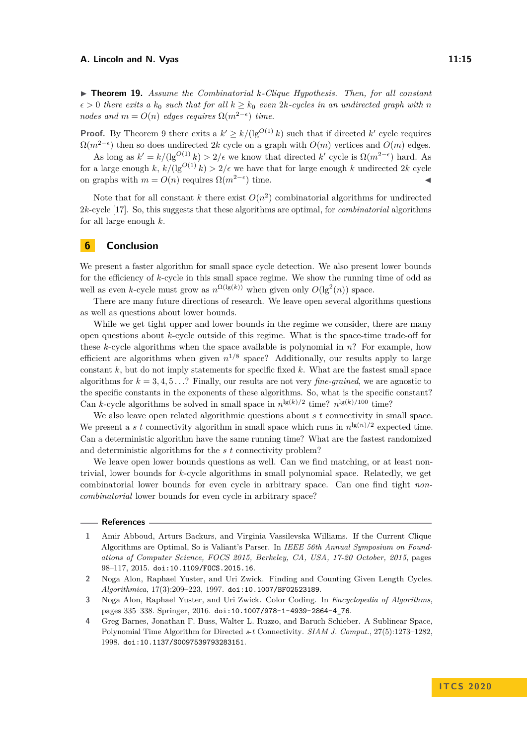I **Theorem 19.** *Assume the Combinatorial k-Clique Hypothesis. Then, for all constant*  $\epsilon > 0$  *there exits a*  $k_0$  *such that for all*  $k \geq k_0$  *even* 2*k-cycles in an undirected graph with n nodes and*  $m = O(n)$  *edges requires*  $\Omega(m^{2-\epsilon})$  *time.* 

**Proof.** By Theorem [9](#page-7-2) there exits a  $k' \geq k/(\lg^{O(1)} k)$  such that if directed k' cycle requires  $Ω(m<sup>2−ε</sup>)$  then so does undirected 2*k* cycle on a graph with  $O(m)$  vertices and  $O(m)$  edges.

As long as  $k' = k/(\lg^{O(1)} k) > 2/\epsilon$  we know that directed  $k'$  cycle is  $\Omega(m^{2-\epsilon})$  hard. As for a large enough *k*,  $k/(lg^{O(1)}k) > 2/\epsilon$  we have that for large enough *k* undirected 2*k* cycle on graphs with  $m = O(n)$  requires  $\Omega(m^{2-\epsilon})$  time.

Note that for all constant *k* there exist  $O(n^2)$  combinatorial algorithms for undirected 2*k*-cycle [\[17\]](#page-15-0). So, this suggests that these algorithms are optimal, for *combinatorial* algorithms for all large enough *k*.

## **6 Conclusion**

We present a faster algorithm for small space cycle detection. We also present lower bounds for the efficiency of *k*-cycle in this small space regime. We show the running time of odd as well as even *k*-cycle must grow as  $n^{\Omega(\lg(k))}$  when given only  $O(\lg^2(n))$  space.

There are many future directions of research. We leave open several algorithms questions as well as questions about lower bounds.

While we get tight upper and lower bounds in the regime we consider, there are many open questions about *k*-cycle outside of this regime. What is the space-time trade-off for these *k*-cycle algorithms when the space available is polynomial in *n*? For example, how efficient are algorithms when given  $n^{1/8}$  space? Additionally, our results apply to large constant  $k$ , but do not imply statements for specific fixed  $k$ . What are the fastest small space algorithms for  $k = 3, 4, 5...$ ? Finally, our results are not very *fine-grained*, we are agnostic to the specific constants in the exponents of these algorithms. So, what is the specific constant? Can *k*-cycle algorithms be solved in small space in  $n^{\lg(k)/2}$  time?  $n^{\lg(k)/100}$  time?

We also leave open related algorithmic questions about *s t* connectivity in small space. We present a *s* t connectivity algorithm in small space which runs in  $n^{\lg(n)/2}$  expected time. Can a deterministic algorithm have the same running time? What are the fastest randomized and deterministic algorithms for the *s t* connectivity problem?

We leave open lower bounds questions as well. Can we find matching, or at least nontrivial, lower bounds for *k*-cycle algorithms in small polynomial space. Relatedly, we get combinatorial lower bounds for even cycle in arbitrary space. Can one find tight *noncombinatorial* lower bounds for even cycle in arbitrary space?

#### **References**

- <span id="page-14-1"></span>**3** Noga Alon, Raphael Yuster, and Uri Zwick. Color Coding. In *Encyclopedia of Algorithms*, pages 335–338. Springer, 2016. [doi:10.1007/978-1-4939-2864-4\\_76](https://doi.org/10.1007/978-1-4939-2864-4_76).
- <span id="page-14-2"></span>**4** Greg Barnes, Jonathan F. Buss, Walter L. Ruzzo, and Baruch Schieber. A Sublinear Space, Polynomial Time Algorithm for Directed *s*-*t* Connectivity. *SIAM J. Comput.*, 27(5):1273–1282, 1998. [doi:10.1137/S0097539793283151](https://doi.org/10.1137/S0097539793283151).

<span id="page-14-3"></span>**<sup>1</sup>** Amir Abboud, Arturs Backurs, and Virginia Vassilevska Williams. If the Current Clique Algorithms are Optimal, So is Valiant's Parser. In *IEEE 56th Annual Symposium on Foundations of Computer Science, FOCS 2015, Berkeley, CA, USA, 17-20 October, 2015*, pages 98–117, 2015. [doi:10.1109/FOCS.2015.16](https://doi.org/10.1109/FOCS.2015.16).

<span id="page-14-0"></span>**<sup>2</sup>** Noga Alon, Raphael Yuster, and Uri Zwick. Finding and Counting Given Length Cycles. *Algorithmica*, 17(3):209–223, 1997. [doi:10.1007/BF02523189](https://doi.org/10.1007/BF02523189).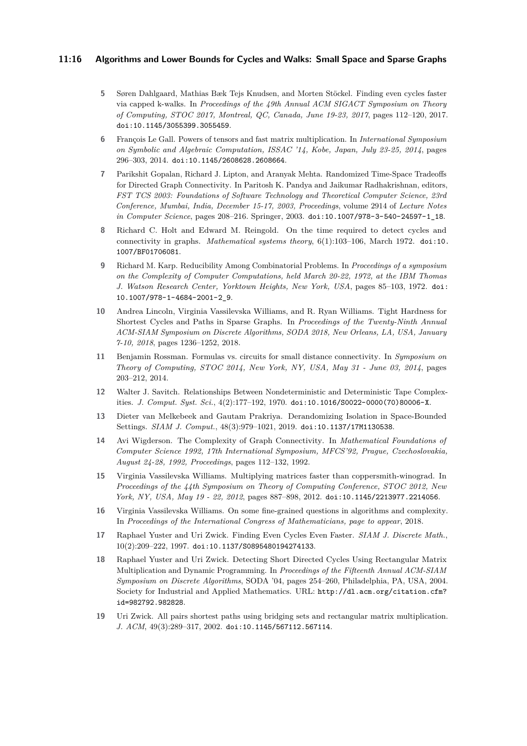#### **11:16 Algorithms and Lower Bounds for Cycles and Walks: Small Space and Sparse Graphs**

- <span id="page-15-1"></span>**5** Søren Dahlgaard, Mathias Bæk Tejs Knudsen, and Morten Stöckel. Finding even cycles faster via capped k-walks. In *Proceedings of the 49th Annual ACM SIGACT Symposium on Theory of Computing, STOC 2017, Montreal, QC, Canada, June 19-23, 2017*, pages 112–120, 2017. [doi:10.1145/3055399.3055459](https://doi.org/10.1145/3055399.3055459).
- <span id="page-15-8"></span>**6** François Le Gall. Powers of tensors and fast matrix multiplication. In *International Symposium on Symbolic and Algebraic Computation, ISSAC '14, Kobe, Japan, July 23-25, 2014*, pages 296–303, 2014. [doi:10.1145/2608628.2608664](https://doi.org/10.1145/2608628.2608664).
- <span id="page-15-11"></span>**7** Parikshit Gopalan, Richard J. Lipton, and Aranyak Mehta. Randomized Time-Space Tradeoffs for Directed Graph Connectivity. In Paritosh K. Pandya and Jaikumar Radhakrishnan, editors, *FST TCS 2003: Foundations of Software Technology and Theoretical Computer Science, 23rd Conference, Mumbai, India, December 15-17, 2003, Proceedings*, volume 2914 of *Lecture Notes in Computer Science*, pages 208–216. Springer, 2003. [doi:10.1007/978-3-540-24597-1\\_18](https://doi.org/10.1007/978-3-540-24597-1_18).
- <span id="page-15-2"></span>**8** Richard C. Holt and Edward M. Reingold. On the time required to detect cycles and connectivity in graphs. *Mathematical systems theory*, 6(1):103–106, March 1972. [doi:10.](https://doi.org/10.1007/BF01706081) [1007/BF01706081](https://doi.org/10.1007/BF01706081).
- <span id="page-15-4"></span>**9** Richard M. Karp. Reducibility Among Combinatorial Problems. In *Proceedings of a symposium on the Complexity of Computer Computations, held March 20-22, 1972, at the IBM Thomas J. Watson Research Center, Yorktown Heights, New York, USA*, pages 85–103, 1972. [doi:](https://doi.org/10.1007/978-1-4684-2001-2_9) [10.1007/978-1-4684-2001-2\\_9](https://doi.org/10.1007/978-1-4684-2001-2_9).
- <span id="page-15-7"></span>**10** Andrea Lincoln, Virginia Vassilevska Williams, and R. Ryan Williams. Tight Hardness for Shortest Cycles and Paths in Sparse Graphs. In *Proceedings of the Twenty-Ninth Annual ACM-SIAM Symposium on Discrete Algorithms, SODA 2018, New Orleans, LA, USA, January 7-10, 2018*, pages 1236–1252, 2018.
- <span id="page-15-12"></span>**11** Benjamin Rossman. Formulas vs. circuits for small distance connectivity. In *Symposium on Theory of Computing, STOC 2014, New York, NY, USA, May 31 - June 03, 2014*, pages 203–212, 2014.
- <span id="page-15-5"></span>**12** Walter J. Savitch. Relationships Between Nondeterministic and Deterministic Tape Complexities. *J. Comput. Syst. Sci.*, 4(2):177–192, 1970. [doi:10.1016/S0022-0000\(70\)80006-X](https://doi.org/10.1016/S0022-0000(70)80006-X).
- <span id="page-15-14"></span>**13** Dieter van Melkebeek and Gautam Prakriya. Derandomizing Isolation in Space-Bounded Settings. *SIAM J. Comput.*, 48(3):979–1021, 2019. [doi:10.1137/17M1130538](https://doi.org/10.1137/17M1130538).
- <span id="page-15-13"></span>**14** Avi Wigderson. The Complexity of Graph Connectivity. In *Mathematical Foundations of Computer Science 1992, 17th International Symposium, MFCS'92, Prague, Czechoslovakia, August 24-28, 1992, Proceedings*, pages 112–132, 1992.
- <span id="page-15-9"></span>**15** Virginia Vassilevska Williams. Multiplying matrices faster than coppersmith-winograd. In *Proceedings of the 44th Symposium on Theory of Computing Conference, STOC 2012, New York, NY, USA, May 19 - 22, 2012*, pages 887–898, 2012. [doi:10.1145/2213977.2214056](https://doi.org/10.1145/2213977.2214056).
- <span id="page-15-10"></span>**16** Virginia Vassilevska Williams. On some fine-grained questions in algorithms and complexity. In *Proceedings of the International Congress of Mathematicians, page to appear*, 2018.
- <span id="page-15-0"></span>**17** Raphael Yuster and Uri Zwick. Finding Even Cycles Even Faster. *SIAM J. Discrete Math.*, 10(2):209–222, 1997. [doi:10.1137/S0895480194274133](https://doi.org/10.1137/S0895480194274133).
- <span id="page-15-3"></span>**18** Raphael Yuster and Uri Zwick. Detecting Short Directed Cycles Using Rectangular Matrix Multiplication and Dynamic Programming. In *Proceedings of the Fifteenth Annual ACM-SIAM Symposium on Discrete Algorithms*, SODA '04, pages 254–260, Philadelphia, PA, USA, 2004. Society for Industrial and Applied Mathematics. URL: [http://dl.acm.org/citation.cfm?](http://dl.acm.org/citation.cfm?id=982792.982828) [id=982792.982828](http://dl.acm.org/citation.cfm?id=982792.982828).
- <span id="page-15-6"></span>**19** Uri Zwick. All pairs shortest paths using bridging sets and rectangular matrix multiplication. *J. ACM*, 49(3):289–317, 2002. [doi:10.1145/567112.567114](https://doi.org/10.1145/567112.567114).